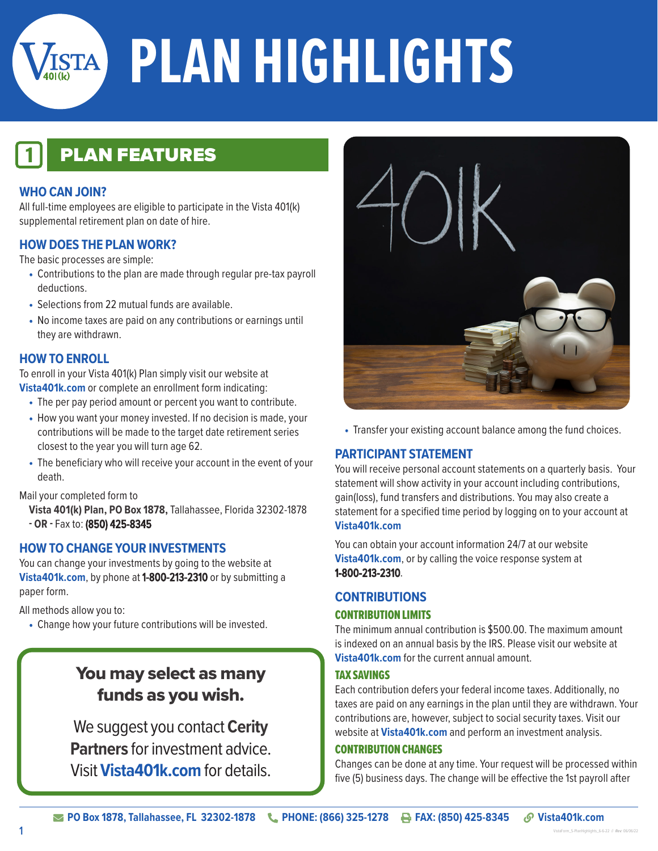

# **RSTA PLAN HIGHLIGHTS**

# **PLAN FEATURES**

#### **WHO CAN JOIN?**

All full-time employees are eligible to participate in the Vista 401(k) supplemental retirement plan on date of hire.

#### **HOW DOES THE PLAN WORK?**

The basic processes are simple:

- Contributions to the plan are made through regular pre-tax payroll deductions.
- Selections from 22 mutual funds are available
- No income taxes are paid on any contributions or earnings until they are withdrawn.

#### **HOW TO ENROLL**

To enroll in your Vista 401(k) Plan simply visit our website at **Vista401k.com** or complete an enrollment form indicating:

- The per pay period amount or percent you want to contribute.
- How you want your money invested. If no decision is made, your contributions will be made to the target date retirement series closest to the year you will turn age 62.
- The beneficiary who will receive your account in the event of your death.

Mail your completed form to

**Vista 401(k) Plan, PO Box 1878,** Tallahassee, Florida 32302-1878 **- OR -** Fax to: (850) 425-8345

#### **HOW TO CHANGE YOUR INVESTMENTS**

You can change your investments by going to the website at **Vista401k.com**, by phone at 1-800-213-2310 or by submitting a paper form.

All methods allow you to:

• Change how your future contributions will be invested.

# You may select as many funds as you wish.

We suggest you contact **Cerity Partners** for investment advice. Visit **Vista401k.com** for details.



• Transfer your existing account balance among the fund choices.

#### **PARTICIPANT STATEMENT**

You will receive personal account statements on a quarterly basis. Your statement will show activity in your account including contributions, gain(loss), fund transfers and distributions. You may also create a statement for a specified time period by logging on to your account at **Vista401k.com**

You can obtain your account information 24/7 at our website **Vista401k.com**, or by calling the voice response system at 1-800-213-2310.

#### **CONTRIBUTIONS**

#### CONTRIBUTION LIMITS

The minimum annual contribution is \$500.00. The maximum amount is indexed on an annual basis by the IRS. Please visit our website at **Vista401k.com** for the current annual amount.

#### TAX SAVINGS

Each contribution defers your federal income taxes. Additionally, no taxes are paid on any earnings in the plan until they are withdrawn. Your contributions are, however, subject to social security taxes. Visit our website at **Vista401k.com** and perform an investment analysis.

#### CONTRIBUTION CHANGES

Changes can be done at any time. Your request will be processed within five (5) business days. The change will be effective the 1st payroll after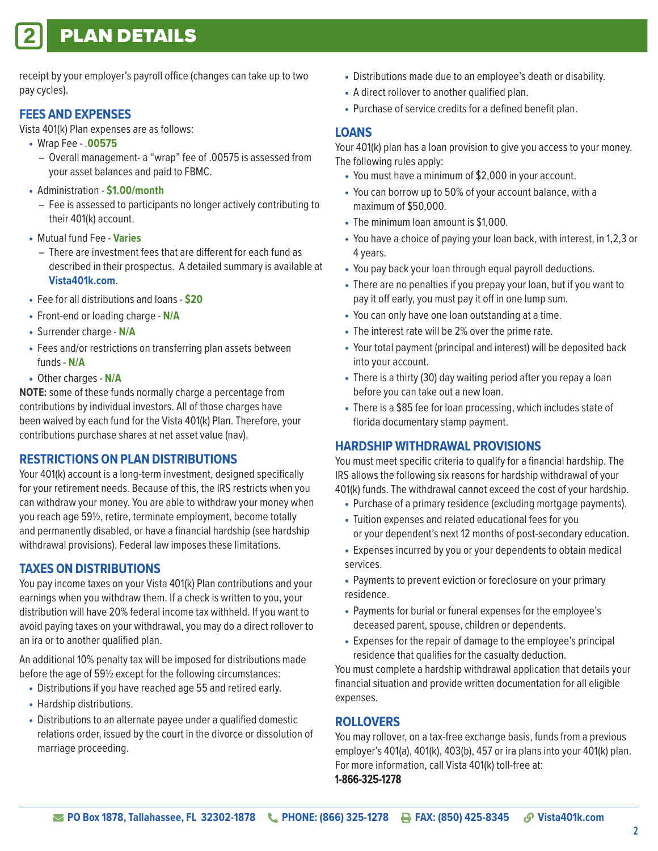# **PLAN DETAILS**

receipt by your employer's payroll office (changes can take up to two pay cycles).

#### **FEES AND EXPENSES**

Vista 401(k) Plan expenses are as follows:

- Wrap Fee .**00575** 
	- Overall management- a "wrap" fee of .00575 is assessed from your asset balances and paid to FBMC.
- Administration **\$1.00/month** 
	- Fee is assessed to participants no longer actively contributing to their 401(k) account.
- Mutual fund Fee **Varies**
	- There are investment fees that are different for each fund as described in their prospectus. A detailed summary is available at **Vista401k.com**.
- Fee for all distributions and loans **\$20**
- Front-end or loading charge **N/A**
- Surrender charge **N/A**
- Fees and/or restrictions on transferring plan assets between funds - **N/A**
- Other charges **N/A**

**NOTE:** some of these funds normally charge a percentage from contributions by individual investors. All of those charges have been waived by each fund for the Vista 401(k) Plan. Therefore, your contributions purchase shares at net asset value (nav).

#### **RESTRICTIONS ON PLAN DISTRIBUTIONS**

Your 401(k) account is a long-term investment, designed specifically for your retirement needs. Because of this, the IRS restricts when you can withdraw your money. You are able to withdraw your money when you reach age 59½, retire, terminate employment, become totally and permanently disabled, or have a financial hardship (see hardship withdrawal provisions). Federal law imposes these limitations.

#### **TAXES ON DISTRIBUTIONS**

You pay income taxes on your Vista 401(k) Plan contributions and your earnings when you withdraw them. If a check is written to you, your distribution will have 20% federal income tax withheld. If you want to avoid paying taxes on your withdrawal, you may do a direct rollover to an ira or to another qualified plan.

An additional 10% penalty tax will be imposed for distributions made before the age of 59½ except for the following circumstances:

- Distributions if you have reached age 55 and retired early.
- Hardship distributions.
- Distributions to an alternate payee under a qualified domestic relations order, issued by the court in the divorce or dissolution of marriage proceeding.
- Distributions made due to an employee's death or disability.
- A direct rollover to another qualified plan.
- Purchase of service credits for a defined benefit plan.

#### **LOANS**

Your 401(k) plan has a loan provision to give you access to your money. The following rules apply:

- You must have a minimum of \$2,000 in your account.
- You can borrow up to 50% of your account balance, with a maximum of \$50,000.
- The minimum loan amount is \$1,000.
- You have a choice of paying your loan back, with interest, in 1,2,3 or 4 years.
- You pay back your loan through equal payroll deductions.
- There are no penalties if you prepay your loan, but if you want to pay it off early, you must pay it off in one lump sum.
- You can only have one loan outstanding at a time.
- The interest rate will be 2% over the prime rate.
- Your total payment (principal and interest) will be deposited back into your account.
- There is a thirty (30) day waiting period after you repay a loan before you can take out a new loan.
- There is a \$85 fee for loan processing, which includes state of florida documentary stamp payment.

#### **HARDSHIP WITHDRAWAL PROVISIONS**

You must meet specific criteria to qualify for a financial hardship. The IRS allows the following six reasons for hardship withdrawal of your 401(k) funds. The withdrawal cannot exceed the cost of your hardship.

- Purchase of a primary residence (excluding mortgage payments).
- Tuition expenses and related educational fees for you or your dependent's next 12 months of post-secondary education.
- Expenses incurred by you or your dependents to obtain medical services.
- Payments to prevent eviction or foreclosure on your primary residence.
- Payments for burial or funeral expenses for the employee's deceased parent, spouse, children or dependents.
- Expenses for the repair of damage to the employee's principal residence that qualifies for the casualty deduction.

You must complete a hardship withdrawal application that details your financial situation and provide written documentation for all eligible expenses.

#### **ROLLOVERS**

You may rollover, on a tax-free exchange basis, funds from a previous employer's 401(a), 401(k), 403(b), 457 or ira plans into your 401(k) plan. For more information, call Vista 401(k) toll-free at: 1-866-325-1278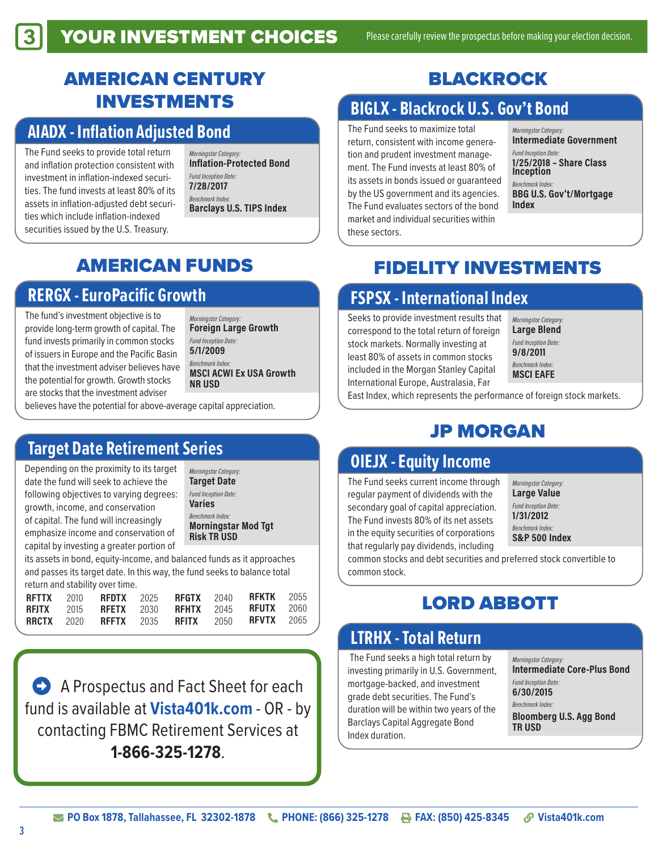## AMERICAN CENTURY INVESTMENTS

## **AIADX - Inflation Adjusted Bond**

The Fund seeks to provide total return and inflation protection consistent with investment in inflation-indexed securities. The fund invests at least 80% of its assets in inflation-adjusted debt securities which include inflation-indexed securities issued by the U.S. Treasury.

*Morningstar Category:*  Inflation-Protected Bond *Fund Inception Date:*  7/28/2017 *Benchmark Index:*  Barclays U.S. TIPS Index

## AMERICAN FUNDS

## **RERGX - EuroPacific Growth**

The fund's investment objective is to provide long-term growth of capital. The fund invests primarily in common stocks of issuers in Europe and the Pacific Basin that the investment adviser believes have the potential for growth. Growth stocks are stocks that the investment adviser

*Morningstar Category:*  Foreign Large Growth *Fund Inception Date:*  5/1/2009 *Benchmark Index:*  MSCI ACWI Ex USA Growth NR USD

believes have the potential for above-average capital appreciation.

## **Target Date Retirement Series**

Depending on the proximity to its target date the fund will seek to achieve the following objectives to varying degrees: growth, income, and conservation of capital. The fund will increasingly emphasize income and conservation of capital by investing a greater portion of

*Morningstar Category:*  Target Date *Fund Inception Date:*  Varies *Benchmark Index:*  Morningstar Mod Tgt Risk TR USD

its assets in bond, equity-income, and balanced funds as it approaches and passes its target date. In this way, the fund seeks to balance total return and stability over time.

|  |  |  | <b>RFTTX 2010 RFDTX 2025 RFGTX 2040 RFKTK 2055</b> |  |
|--|--|--|----------------------------------------------------|--|
|  |  |  | <b>RFJTX 2015 RFETX 2030 RFHTX 2045 RFUTX 2060</b> |  |
|  |  |  | <b>RRCTX 2020 RFFTX 2035 RFITX 2050 RFVTX 2065</b> |  |

**• A Prospectus and Fact Sheet for each** fund is available at **Vista401k.com** - OR - by contacting FBMC Retirement Services at **1-866-325-1278**.

# BLACKROCK

## **BIGLX - Blackrock U.S. Gov't Bond**

The Fund seeks to maximize total return, consistent with income generation and prudent investment management. The Fund invests at least 80% of its assets in bonds issued or guaranteed by the US government and its agencies. The Fund evaluates sectors of the bond market and individual securities within these sectors.

*Morningstar Category:*  Intermediate Government *Fund Inception Date:*  1/25/2018 – Share Class Inception *Benchmark Index:*  BBG U.S. Gov't/Mortgage Index

## FIDELITY INVESTMENTS

# **FSPSX - International Index**

Seeks to provide investment results that correspond to the total return of foreign stock markets. Normally investing at least 80% of assets in common stocks included in the Morgan Stanley Capital International Europe, Australasia, Far

*Morningstar Category:*  Large Blend *Fund Inception Date:*  9/8/2011 *Benchmark Index:*  MSCI EAFE

East Index, which represents the performance of foreign stock markets.

# JP MORGAN

## **OIEJX - Equity Income**

The Fund seeks current income through regular payment of dividends with the secondary goal of capital appreciation. The Fund invests 80% of its net assets in the equity securities of corporations that regularly pay dividends, including

*Morningstar Category:*  Large Value *Fund Inception Date:*  1/31/2012

*Benchmark Index:*  S&P 500 Index

common stocks and debt securities and preferred stock convertible to common stock.

## LORD ABBOTT

## **LTRHX - Total Return**

 The Fund seeks a high total return by investing primarily in U.S. Government, mortgage-backed, and investment grade debt securities. The Fund's duration will be within two years of the Barclays Capital Aggregate Bond Index duration.

*Morningstar Category:*  Intermediate Core-Plus Bond

*Fund Inception Date:*  6/30/2015

*Benchmark Index:*  Bloomberg U.S. Agg Bond TR USD